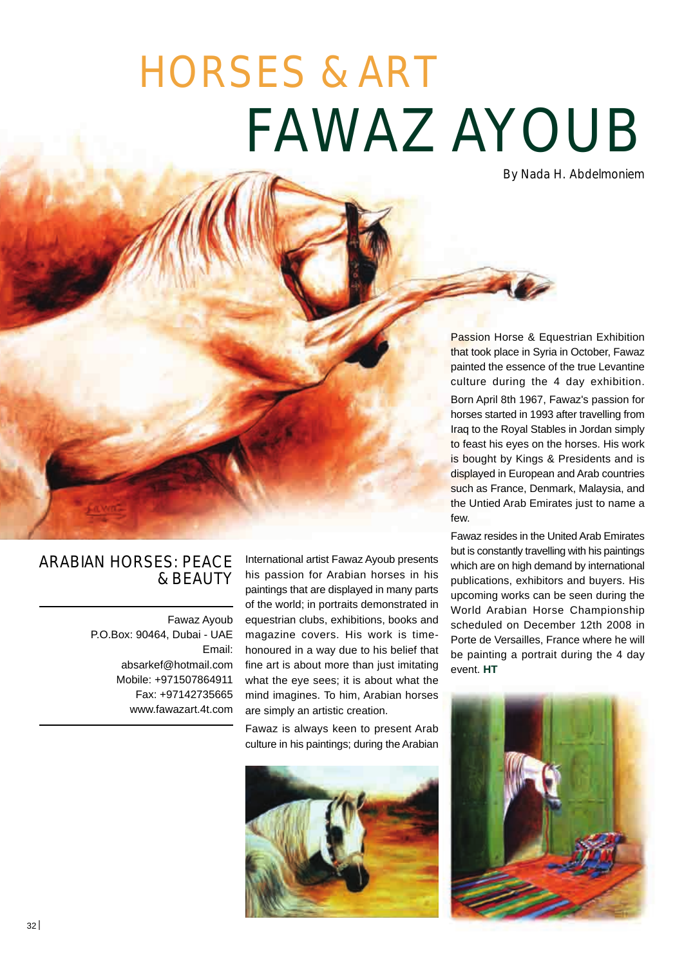## FAWAZ AYOUB HORSES & ART

By Nada H. Abdelmoniem

Passion Horse & Equestrian Exhibition that took place in Syria in October, Fawaz painted the essence of the true Levantine culture during the 4 day exhibition. Born April 8th 1967, Fawaz's passion for horses started in 1993 after travelling from Iraq to the Royal Stables in Jordan simply to feast his eyes on the horses. His work is bought by Kings & Presidents and is displayed in European and Arab countries such as France, Denmark, Malaysia, and the Untied Arab Emirates just to name a few.

Fawaz resides in the United Arab Emirates but is constantly travelling with his paintings which are on high demand by international publications, exhibitors and buyers. His upcoming works can be seen during the World Arabian Horse Championship scheduled on December 12th 2008 in Porte de Versailles, France where he will be painting a portrait during the 4 day event. **HT**



## ARABIAN HORSES: PEACE & BEAUTY

Fawaz Ayoub P.O.Box: 90464, Dubai - UAE Email: absarkef@hotmail.com Mobile: +971507864911 Fax: +97142735665 www.fawazart.4t.com

International artist Fawaz Ayoub presents his passion for Arabian horses in his paintings that are displayed in many parts of the world; in portraits demonstrated in equestrian clubs, exhibitions, books and magazine covers. His work is timehonoured in a way due to his belief that fine art is about more than just imitating what the eye sees; it is about what the mind imagines. To him, Arabian horses are simply an artistic creation.

Fawaz is always keen to present Arab culture in his paintings; during the Arabian